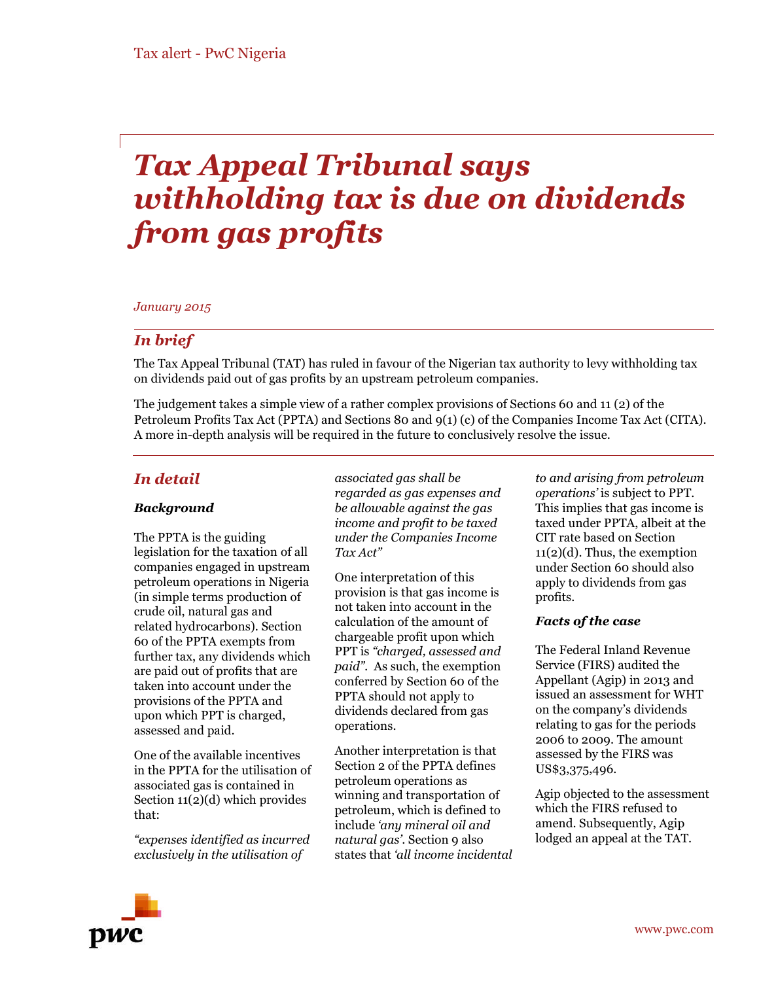# *Tax Appeal Tribunal says withholding tax is due on dividends from gas profits*

### *January 2015*

# *In brief*

The Tax Appeal Tribunal (TAT) has ruled in favour of the Nigerian tax authority to levy withholding tax on dividends paid out of gas profits by an upstream petroleum companies.

The judgement takes a simple view of a rather complex provisions of Sections 60 and 11 (2) of the Petroleum Profits Tax Act (PPTA) and Sections 80 and 9(1) (c) of the Companies Income Tax Act (CITA). A more in-depth analysis will be required in the future to conclusively resolve the issue.

# *In detail*

# *Background*

The PPTA is the guiding legislation for the taxation of all companies engaged in upstream petroleum operations in Nigeria (in simple terms production of crude oil, natural gas and related hydrocarbons). Section 60 of the PPTA exempts from further tax, any dividends which are paid out of profits that are taken into account under the provisions of the PPTA and upon which PPT is charged, assessed and paid.

One of the available incentives in the PPTA for the utilisation of associated gas is contained in Section 11(2)(d) which provides that:

*"expenses identified as incurred exclusively in the utilisation of*

*associated gas shall be regarded as gas expenses and be allowable against the gas income and profit to be taxed under the Companies Income Tax Act"*

One interpretation of this provision is that gas income is not taken into account in the calculation of the amount of chargeable profit upon which PPT is *"charged, assessed and paid".* As such, the exemption conferred by Section 60 of the PPTA should not apply to dividends declared from gas operations.

Another interpretation is that Section 2 of the PPTA defines petroleum operations as winning and transportation of petroleum, which is defined to include *'any mineral oil and natural gas'*. Section 9 also states that *'all income incidental*

*to and arising from petroleum operations'* is subject to PPT. This implies that gas income is taxed under PPTA, albeit at the CIT rate based on Section 11(2)(d). Thus, the exemption under Section 60 should also apply to dividends from gas profits.

#### *Facts of the case*

The Federal Inland Revenue Service (FIRS) audited the Appellant (Agip) in 2013 and issued an assessment for WHT on the company's dividends relating to gas for the periods 2006 to 2009. The amount assessed by the FIRS was US\$3,375,496.

Agip objected to the assessment which the FIRS refused to amend. Subsequently, Agip lodged an appeal at the TAT.

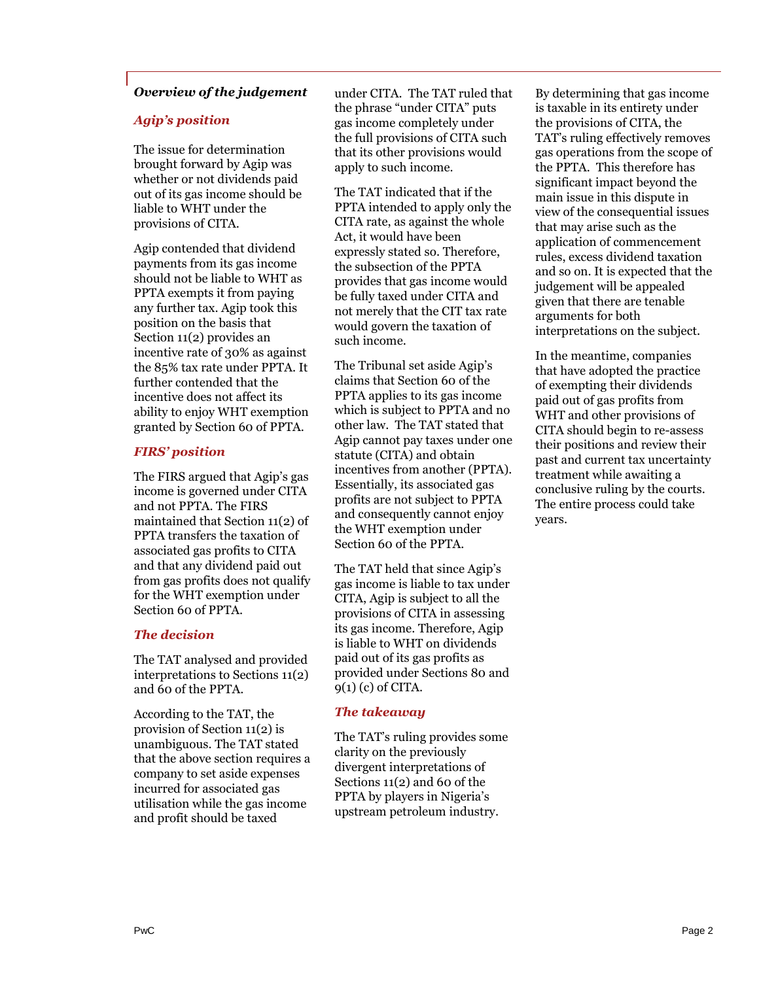# *Overview of the judgement*

#### *Agip's position*

The issue for determination brought forward by Agip was whether or not dividends paid out of its gas income should be liable to WHT under the provisions of CITA.

Agip contended that dividend payments from its gas income should not be liable to WHT as PPTA exempts it from paying any further tax. Agip took this position on the basis that Section 11(2) provides an incentive rate of 30% as against the 85% tax rate under PPTA. It further contended that the incentive does not affect its ability to enjoy WHT exemption granted by Section 60 of PPTA.

#### *FIRS' position*

The FIRS argued that Agip's gas income is governed under CITA and not PPTA. The FIRS maintained that Section 11(2) of PPTA transfers the taxation of associated gas profits to CITA and that any dividend paid out from gas profits does not qualify for the WHT exemption under Section 60 of PPTA.

#### *The decision*

The TAT analysed and provided interpretations to Sections 11(2) and 60 of the PPTA.

According to the TAT, the provision of Section 11(2) is unambiguous. The TAT stated that the above section requires a company to set aside expenses incurred for associated gas utilisation while the gas income and profit should be taxed

under CITA. The TAT ruled that the phrase "under CITA" puts gas income completely under the full provisions of CITA such that its other provisions would apply to such income.

The TAT indicated that if the PPTA intended to apply only the CITA rate, as against the whole Act, it would have been expressly stated so. Therefore, the subsection of the PPTA provides that gas income would be fully taxed under CITA and not merely that the CIT tax rate would govern the taxation of such income.

The Tribunal set aside Agip's claims that Section 60 of the PPTA applies to its gas income which is subject to PPTA and no other law. The TAT stated that Agip cannot pay taxes under one statute (CITA) and obtain incentives from another (PPTA). Essentially, its associated gas profits are not subject to PPTA and consequently cannot enjoy the WHT exemption under Section 60 of the PPTA.

The TAT held that since Agip's gas income is liable to tax under CITA, Agip is subject to all the provisions of CITA in assessing its gas income. Therefore, Agip is liable to WHT on dividends paid out of its gas profits as provided under Sections 80 and 9(1) (c) of CITA.

#### *The takeaway*

The TAT's ruling provides some clarity on the previously divergent interpretations of Sections 11(2) and 60 of the PPTA by players in Nigeria's upstream petroleum industry.

By determining that gas income is taxable in its entirety under the provisions of CITA, the TAT's ruling effectively removes gas operations from the scope of the PPTA. This therefore has significant impact beyond the main issue in this dispute in view of the consequential issues that may arise such as the application of commencement rules, excess dividend taxation and so on. It is expected that the judgement will be appealed given that there are tenable arguments for both interpretations on the subject.

In the meantime, companies that have adopted the practice of exempting their dividends paid out of gas profits from WHT and other provisions of CITA should begin to re-assess their positions and review their past and current tax uncertainty treatment while awaiting a conclusive ruling by the courts. The entire process could take years.